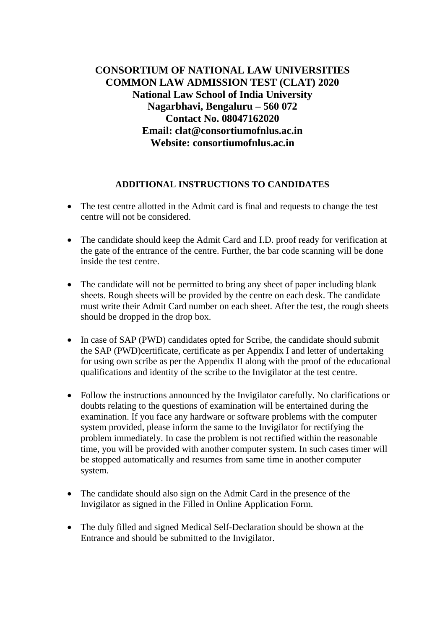## **CONSORTIUM OF NATIONAL LAW UNIVERSITIES COMMON LAW ADMISSION TEST (CLAT) 2020 National Law School of India University Nagarbhavi, Bengaluru – 560 072 Contact No. 08047162020 Email: clat@consortiumofnlus.ac.in Website: consortiumofnlus.ac.in**

## **ADDITIONAL INSTRUCTIONS TO CANDIDATES**

- The test centre allotted in the Admit card is final and requests to change the test centre will not be considered.
- The candidate should keep the Admit Card and I.D. proof ready for verification at the gate of the entrance of the centre. Further, the bar code scanning will be done inside the test centre.
- The candidate will not be permitted to bring any sheet of paper including blank sheets. Rough sheets will be provided by the centre on each desk. The candidate must write their Admit Card number on each sheet. After the test, the rough sheets should be dropped in the drop box.
- In case of SAP (PWD) candidates opted for Scribe, the candidate should submit the SAP (PWD)certificate, certificate as per Appendix I and letter of undertaking for using own scribe as per the Appendix II along with the proof of the educational qualifications and identity of the scribe to the Invigilator at the test centre.
- Follow the instructions announced by the Invigilator carefully. No clarifications or doubts relating to the questions of examination will be entertained during the examination. If you face any hardware or software problems with the computer system provided, please inform the same to the Invigilator for rectifying the problem immediately. In case the problem is not rectified within the reasonable time, you will be provided with another computer system. In such cases timer will be stopped automatically and resumes from same time in another computer system.
- The candidate should also sign on the Admit Card in the presence of the Invigilator as signed in the Filled in Online Application Form.
- The duly filled and signed Medical Self-Declaration should be shown at the Entrance and should be submitted to the Invigilator.